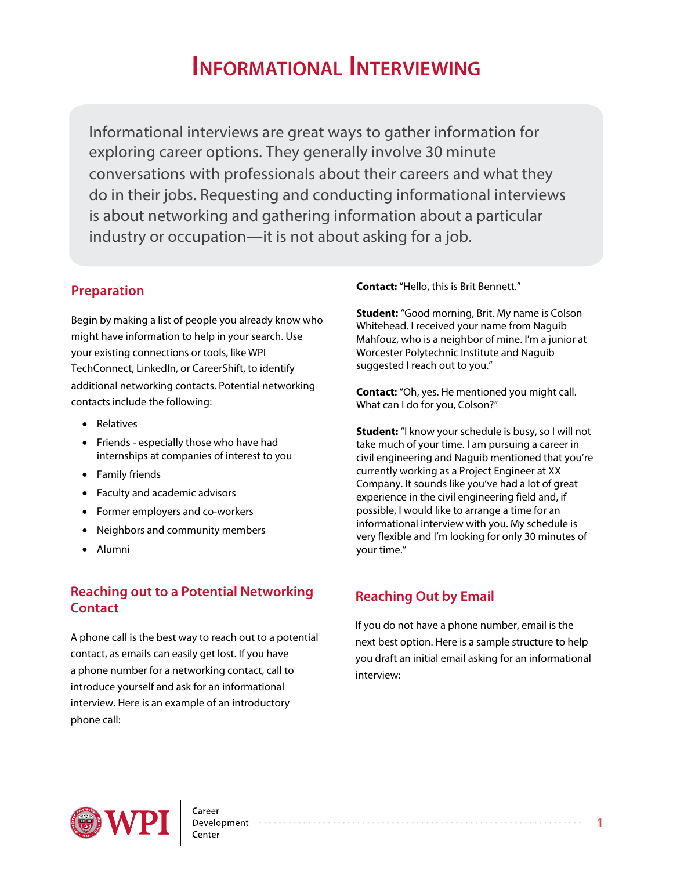# **INFORMATIONAL INTERVIEWING**

Informational interviews are great ways to gather information for exploring career options. They generally involve 30 minute conversations with professionals about their careers and what they do in their jobs. Requesting and conducting informational interviews is about networking and gathering information about a particular industry or occupation—it is not about asking for a job.

## **Preparation**

Begin by making a list of people you already know who might have information to help in your search. Use your existing connections or tools, like WPI TechConnect, LinkedIn, or CareerShift, to identify additional networking contacts. Potential networking contacts include the following:

- Relatives
- Friends especially those who have had internships at companies of interest to you
- Family friends
- Faculty and academic advisors
- Former employers and co-workers
- Neighbors and community members
- Alumni

## **Reaching out to a Potential Networking Contact**

A phone call is the best way to reach out to a potential contact, as emails can easily get lost. If you have a phone number for a networking contact, call to introduce yourself and ask for an informational interview. Here is an example of an introductory phone call:

#### **Contact:** "Hello, this is Brit Bennett."

**Student:** "Good morning, Brit. My name is Colson Whitehead. I received your name from Naguib Mahfouz, who is a neighbor of mine. I'm a junior at Worcester Polytechnic Institute and Naguib suggested I reach out to you."

**Contact:** "Oh, yes. He mentioned you might call. What can I do for you, Colson?"

**Student:** "I know your schedule is busy, so I will not take much of your time. I am pursuing a career in civil engineering and Naguib mentioned that you're currently working as a Project Engineer at XX Company. It sounds like you've had a lot of great experience in the civil engineering field and, if possible, I would like to arrange a time for an informational interview with you. My schedule is very flexible and I'm looking for only 30 minutes of your time."

## **Reaching Out by Email**

If you do not have a phone number, email is the next best option. Here is a sample structure to help you draft an initial email asking for an informational interview: